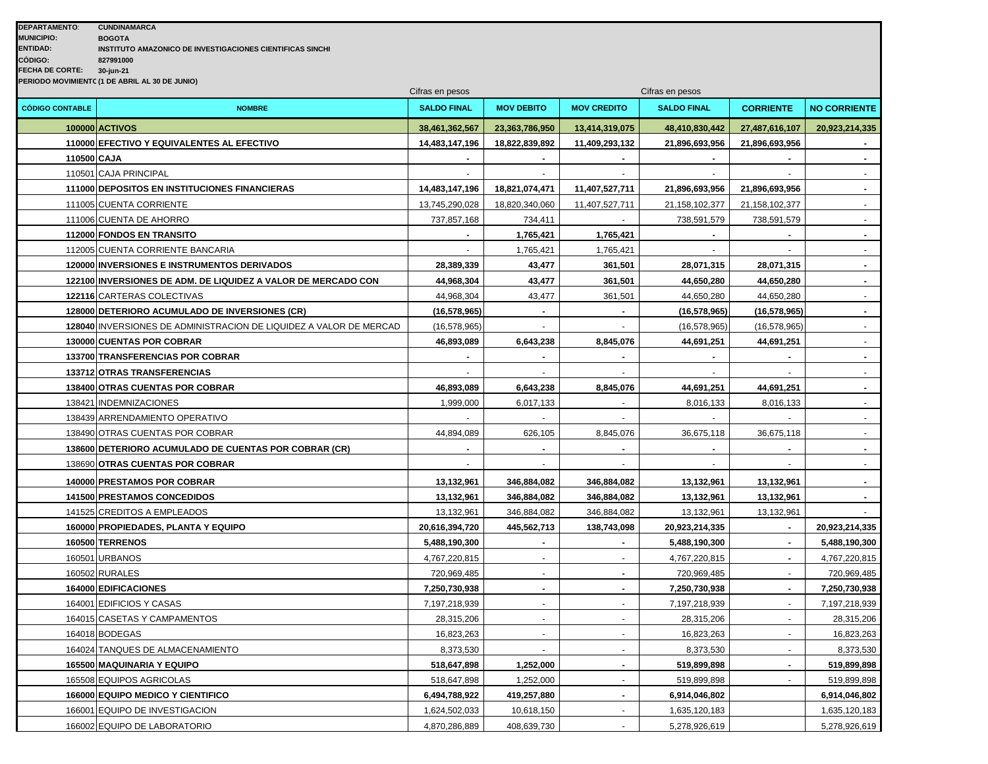| <b>CUNDINAMARCA</b>                                       |
|-----------------------------------------------------------|
| <b>BOGOTA</b>                                             |
| INSTITUTO AMAZONICO DE INVESTIGACIONES CIENTIFICAS SINCHI |
| 827991000                                                 |
| 30-jun-21                                                 |
| PERIODO MOVIMIENTC (1 DE ABRIL AL 30 DE JUNIO)            |
|                                                           |

| <b>CÓDIGO CONTABLE</b><br><b>NOMBRE</b><br><b>SALDO FINAL</b><br><b>MOV DEBITO</b><br><b>MOV CREDITO</b><br><b>SALDO FINAL</b><br><b>CORRIENTE</b><br><b>NO CORRIENTE</b><br>100000 ACTIVOS<br>48,410,830,442<br>27,487,616,107<br>38,461,362,567<br>23,363,786,950<br>13,414,319,075<br>20,923,214,335<br>110000 EFECTIVO Y EQUIVALENTES AL EFECTIVO<br>14,483,147,196<br>18,822,839,892<br>11,409,293,132<br>21,896,693,956<br>21,896,693,956<br>110500 CAJA<br>$\blacksquare$<br>110501 CAJA PRINCIPAL |
|-----------------------------------------------------------------------------------------------------------------------------------------------------------------------------------------------------------------------------------------------------------------------------------------------------------------------------------------------------------------------------------------------------------------------------------------------------------------------------------------------------------|
|                                                                                                                                                                                                                                                                                                                                                                                                                                                                                                           |
|                                                                                                                                                                                                                                                                                                                                                                                                                                                                                                           |
|                                                                                                                                                                                                                                                                                                                                                                                                                                                                                                           |
|                                                                                                                                                                                                                                                                                                                                                                                                                                                                                                           |
|                                                                                                                                                                                                                                                                                                                                                                                                                                                                                                           |
| 111000 DEPOSITOS EN INSTITUCIONES FINANCIERAS<br>14,483,147,196<br>18,821,074,471<br>11,407,527,711<br>21,896,693,956<br>21,896,693,956                                                                                                                                                                                                                                                                                                                                                                   |
| 111005 CUENTA CORRIENTE<br>13,745,290,028<br>18,820,340,060<br>11,407,527,711<br>21,158,102,377<br>21,158,102,377                                                                                                                                                                                                                                                                                                                                                                                         |
| 111006 CUENTA DE AHORRO<br>737,857,168<br>734,411<br>$\sim$<br>738,591,579<br>738,591,579<br>$\sim$                                                                                                                                                                                                                                                                                                                                                                                                       |
| 112000 FONDOS EN TRANSITO<br>1,765,421<br>1,765,421<br>$\blacksquare$                                                                                                                                                                                                                                                                                                                                                                                                                                     |
| 112005 CUENTA CORRIENTE BANCARIA<br>1,765,421<br>1,765,421                                                                                                                                                                                                                                                                                                                                                                                                                                                |
| 43,477<br><b>120000 INVERSIONES E INSTRUMENTOS DERIVADOS</b><br>28,389,339<br>361,501<br>28,071,315<br>28,071,315<br>$\blacksquare$                                                                                                                                                                                                                                                                                                                                                                       |
| 122100 INVERSIONES DE ADM. DE LIQUIDEZ A VALOR DE MERCADO CON<br>43,477<br>361,501<br>44,650,280<br>44,968,304<br>44,650,280                                                                                                                                                                                                                                                                                                                                                                              |
| 44,968,304<br>43,477<br>44,650,280<br>122116 CARTERAS COLECTIVAS<br>361,501<br>44,650,280<br>$\omega$                                                                                                                                                                                                                                                                                                                                                                                                     |
| 128000 DETERIORO ACUMULADO DE INVERSIONES (CR)<br>(16, 578, 965)<br>(16, 578, 965)<br>(16, 578, 965)<br>$\blacksquare$<br>$\blacksquare$                                                                                                                                                                                                                                                                                                                                                                  |
| 128040 INVERSIONES DE ADMINISTRACION DE LIQUIDEZ A VALOR DE MERCAD<br>(16, 578, 965)<br>(16, 578, 965)<br>(16, 578, 965)                                                                                                                                                                                                                                                                                                                                                                                  |
| 130000 CUENTAS POR COBRAR<br>46,893,089<br>6,643,238<br>8,845,076<br>44,691,251<br>44,691,251                                                                                                                                                                                                                                                                                                                                                                                                             |
| 133700 TRANSFERENCIAS POR COBRAR<br>$\overline{a}$                                                                                                                                                                                                                                                                                                                                                                                                                                                        |
| 133712 OTRAS TRANSFERENCIAS<br>$\overline{\phantom{a}}$<br>$\blacksquare$                                                                                                                                                                                                                                                                                                                                                                                                                                 |
| 138400 OTRAS CUENTAS POR COBRAR<br>46,893,089<br>6,643,238<br>8,845,076<br>44,691,251<br>44,691,251<br>$\blacksquare$                                                                                                                                                                                                                                                                                                                                                                                     |
| 138421 INDEMNIZACIONES<br>1,999,000<br>6,017,133<br>8,016,133<br>8,016,133                                                                                                                                                                                                                                                                                                                                                                                                                                |
| 138439 ARRENDAMIENTO OPERATIVO                                                                                                                                                                                                                                                                                                                                                                                                                                                                            |
| 138490 OTRAS CUENTAS POR COBRAR<br>44,894,089<br>626,105<br>8,845,076<br>36,675,118<br>36,675,118<br>$\sim$                                                                                                                                                                                                                                                                                                                                                                                               |
| 138600 DETERIORO ACUMULADO DE CUENTAS POR COBRAR (CR)<br>$\blacksquare$                                                                                                                                                                                                                                                                                                                                                                                                                                   |
| 138690 OTRAS CUENTAS POR COBRAR                                                                                                                                                                                                                                                                                                                                                                                                                                                                           |
| <b>140000 PRESTAMOS POR COBRAR</b><br>13,132,961<br>346,884,082<br>346,884,082<br>13,132,961<br>13,132,961                                                                                                                                                                                                                                                                                                                                                                                                |
| 141500 PRESTAMOS CONCEDIDOS<br>13,132,961<br>346,884,082<br>346,884,082<br>13,132,961<br>13,132,961                                                                                                                                                                                                                                                                                                                                                                                                       |
| 141525 CREDITOS A EMPLEADOS<br>13,132,961<br>346,884,082<br>346,884,082<br>13,132,961<br>13,132,961                                                                                                                                                                                                                                                                                                                                                                                                       |
| 160000 PROPIEDADES, PLANTA Y EQUIPO<br>20,616,394,720<br>445,562,713<br>138,743,098<br>20,923,214,335<br>20,923,214,335<br>$\overline{a}$                                                                                                                                                                                                                                                                                                                                                                 |
| 160500 TERRENOS<br>5,488,190,300<br>5,488,190,300<br>5,488,190,300                                                                                                                                                                                                                                                                                                                                                                                                                                        |
| 160501 URBANOS<br>4,767,220,815<br>4,767,220,815<br>4,767,220,815                                                                                                                                                                                                                                                                                                                                                                                                                                         |
| 160502 RURALES<br>720,969,485<br>720,969,485<br>720,969,485                                                                                                                                                                                                                                                                                                                                                                                                                                               |
| 164000 EDIFICACIONES<br>7,250,730,938<br>7,250,730,938<br>7,250,730,938                                                                                                                                                                                                                                                                                                                                                                                                                                   |
| 164001 EDIFICIOS Y CASAS<br>7,197,218,939<br>7,197,218,939<br>7,197,218,939<br>$\sim$                                                                                                                                                                                                                                                                                                                                                                                                                     |
| 164015 CASETAS Y CAMPAMENTOS<br>28,315,206<br>28,315,206<br>28,315,206<br>$\sim$<br>$\sim$                                                                                                                                                                                                                                                                                                                                                                                                                |
| 164018 BODEGAS<br>16,823,263<br>16,823,263<br>16,823,263                                                                                                                                                                                                                                                                                                                                                                                                                                                  |
| 8,373,530<br>8,373,530<br>8,373,530<br>164024 TANQUES DE ALMACENAMIENTO                                                                                                                                                                                                                                                                                                                                                                                                                                   |
| 165500 MAQUINARIA Y EQUIPO<br>518,647,898<br>1,252,000<br>519,899,898<br>519,899,898                                                                                                                                                                                                                                                                                                                                                                                                                      |
| 165508 EQUIPOS AGRICOLAS<br>518,647,898<br>1,252,000<br>519,899,898<br>519,899,898<br>$\omega$                                                                                                                                                                                                                                                                                                                                                                                                            |
| 166000 EQUIPO MEDICO Y CIENTIFICO<br>6,494,788,922<br>419,257,880<br>6,914,046,802<br>6,914,046,802                                                                                                                                                                                                                                                                                                                                                                                                       |
| 166001 EQUIPO DE INVESTIGACION<br>1,624,502,033<br>10,618,150<br>1,635,120,183<br>1,635,120,183                                                                                                                                                                                                                                                                                                                                                                                                           |
| 166002 EQUIPO DE LABORATORIO<br>4,870,286,889<br>408,639,730<br>5,278,926,619<br>5,278,926,619                                                                                                                                                                                                                                                                                                                                                                                                            |

Cifras en pesos Cifras en pesos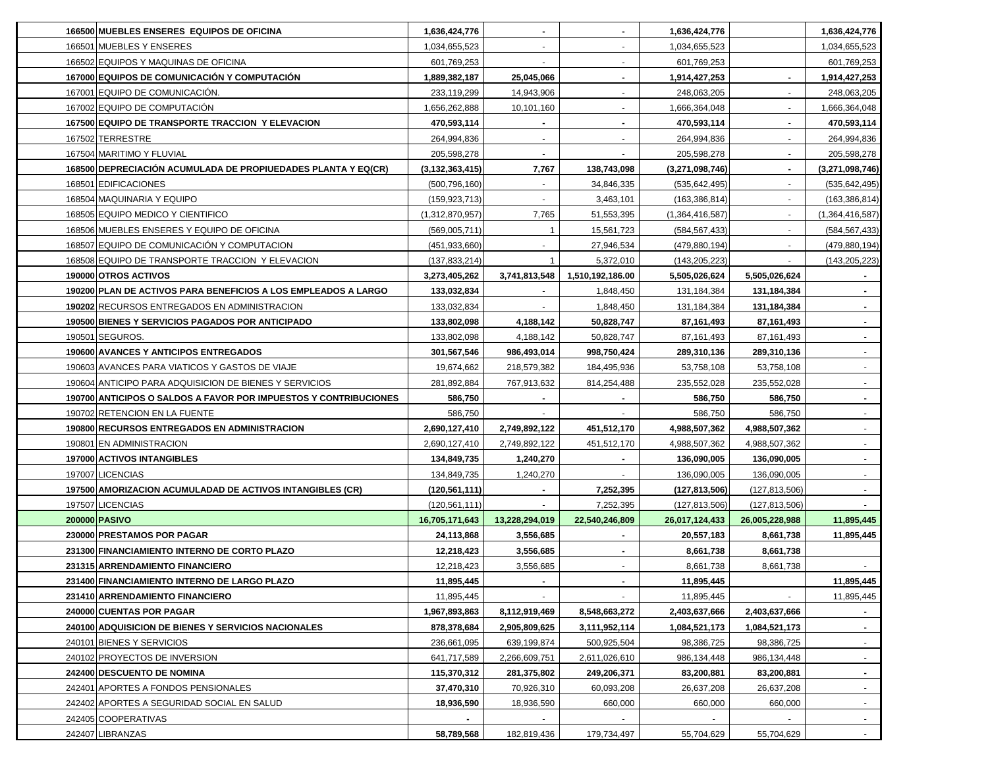| 166500 MUEBLES ENSERES EQUIPOS DE OFICINA                        | 1,636,424,776      | $\blacksquare$           | $\blacksquare$           | 1,636,424,776   |                 | 1,636,424,776   |
|------------------------------------------------------------------|--------------------|--------------------------|--------------------------|-----------------|-----------------|-----------------|
| 166501 MUEBLES Y ENSERES                                         | 1,034,655,523      | $\overline{\phantom{a}}$ | $\overline{\phantom{a}}$ | 1,034,655,523   |                 | 1,034,655,523   |
| 166502 EQUIPOS Y MAQUINAS DE OFICINA                             | 601,769,253        | $\blacksquare$           | $\blacksquare$           | 601,769,253     |                 | 601,769,253     |
| 167000 EQUIPOS DE COMUNICACIÓN Y COMPUTACIÓN                     | 1,889,382,187      | 25,045,066               | $\blacksquare$           | 1,914,427,253   | $\blacksquare$  | 1,914,427,253   |
| 167001 EQUIPO DE COMUNICACIÓN.                                   | 233,119,299        | 14,943,906               | $\blacksquare$           | 248,063,205     | $\blacksquare$  | 248,063,205     |
| 167002 EQUIPO DE COMPUTACIÓN                                     | 1,656,262,888      | 10,101,160               | $\blacksquare$           | 1,666,364,048   | $\blacksquare$  | 1,666,364,048   |
| 167500 EQUIPO DE TRANSPORTE TRACCION Y ELEVACION                 | 470,593,114        |                          | $\blacksquare$           | 470,593,114     |                 | 470,593,114     |
| 167502 TERRESTRE                                                 | 264,994,836        |                          |                          | 264,994,836     |                 | 264,994,836     |
| 167504 MARITIMO Y FLUVIAL                                        | 205,598,278        | $\blacksquare$           |                          | 205,598,278     |                 | 205,598,278     |
| 168500 DEPRECIACIÓN ACUMULADA DE PROPIUEDADES PLANTA Y EQ(CR)    | (3, 132, 363, 415) | 7,767                    | 138,743,098              | (3,271,098,746) |                 | (3,271,098,746) |
| 168501 EDIFICACIONES                                             | (500, 796, 160)    |                          | 34,846,335               | (535, 642, 495) |                 | (535, 642, 495) |
| 168504 MAQUINARIA Y EQUIPO                                       | (159, 923, 713)    |                          | 3,463,101                | (163, 386, 814) |                 | (163, 386, 814) |
| 168505 EQUIPO MEDICO Y CIENTIFICO                                | (1,312,870,957)    | 7,765                    | 51,553,395               | (1,364,416,587) |                 | (1,364,416,587) |
| 168506 MUEBLES ENSERES Y EQUIPO DE OFICINA                       | (569,005,711)      | $\mathbf{1}$             | 15,561,723               | (584, 567, 433) |                 | (584, 567, 433) |
| 168507 EQUIPO DE COMUNICACIÓN Y COMPUTACIÓN                      | (451, 933, 660)    |                          | 27,946,534               | (479, 880, 194) |                 | (479, 880, 194) |
| 168508 EQUIPO DE TRANSPORTE TRACCION Y ELEVACION                 | (137, 833, 214)    | $\overline{1}$           | 5,372,010                | (143, 205, 223) |                 | (143, 205, 223) |
| 190000 OTROS ACTIVOS                                             | 3,273,405,262      | 3,741,813,548            | 1,510,192,186.00         | 5,505,026,624   | 5,505,026,624   |                 |
| 190200 PLAN DE ACTIVOS PARA BENEFICIOS A LOS EMPLEADOS A LARGO   | 133,032,834        |                          | 1,848,450                | 131,184,384     | 131,184,384     |                 |
| 190202 RECURSOS ENTREGADOS EN ADMINISTRACION                     | 133,032,834        |                          | 1,848,450                | 131,184,384     | 131, 184, 384   |                 |
| 190500 BIENES Y SERVICIOS PAGADOS POR ANTICIPADO                 | 133,802,098        | 4,188,142                | 50,828,747               | 87,161,493      | 87,161,493      |                 |
| 190501 SEGUROS.                                                  | 133,802,098        | 4,188,142                | 50,828,747               | 87,161,493      | 87,161,493      |                 |
| 190600 AVANCES Y ANTICIPOS ENTREGADOS                            | 301,567,546        | 986,493,014              | 998,750,424              | 289,310,136     | 289,310,136     |                 |
| 190603 AVANCES PARA VIATICOS Y GASTOS DE VIAJE                   | 19,674,662         | 218,579,382              | 184,495,936              | 53,758,108      | 53,758,108      |                 |
| 190604 ANTICIPO PARA ADQUISICION DE BIENES Y SERVICIOS           | 281,892,884        | 767,913,632              | 814,254,488              | 235,552,028     | 235,552,028     |                 |
| 190700 ANTICIPOS O SALDOS A FAVOR POR IMPUESTOS Y CONTRIBUCIONES | 586,750            |                          |                          | 586,750         | 586,750         | $\sim$          |
| 190702 RETENCION EN LA FUENTE                                    | 586,750            |                          |                          | 586,750         | 586,750         |                 |
| 190800 RECURSOS ENTREGADOS EN ADMINISTRACION                     | 2,690,127,410      | 2,749,892,122            | 451,512,170              | 4,988,507,362   | 4,988,507,362   | $\sim$          |
| 190801 EN ADMINISTRACION                                         | 2,690,127,410      | 2,749,892,122            | 451,512,170              | 4,988,507,362   | 4,988,507,362   | $\sim$          |
| 197000 ACTIVOS INTANGIBLES                                       | 134,849,735        | 1,240,270                | $\blacksquare$           | 136,090,005     | 136,090,005     | $\blacksquare$  |
| 197007 LICENCIAS                                                 | 134,849,735        | 1,240,270                |                          | 136,090,005     | 136,090,005     | $\sim$          |
| 197500 AMORIZACION ACUMULADAD DE ACTIVOS INTANGIBLES (CR)        | (120, 561, 111)    | $\blacksquare$           | 7,252,395                | (127, 813, 506) | (127, 813, 506) | $\sim$          |
| 197507 LICENCIAS                                                 | (120, 561, 111)    |                          | 7,252,395                | (127, 813, 506) | (127, 813, 506) |                 |
| 200000 PASIVO                                                    | 16,705,171,643     | 13,228,294,019           | 22,540,246,809           | 26,017,124,433  | 26,005,228,988  | 11,895,445      |
| 230000 PRESTAMOS POR PAGAR                                       | 24,113,868         | 3,556,685                |                          | 20,557,183      | 8,661,738       | 11,895,445      |
| 231300 FINANCIAMIENTO INTERNO DE CORTO PLAZO                     | 12,218,423         | 3,556,685                |                          | 8,661,738       | 8,661,738       |                 |
| 231315 ARRENDAMIENTO FINANCIERO                                  | 12,218,423         | 3,556,685                |                          | 8,661,738       | 8,661,738       |                 |
| 231400 FINANCIAMIENTO INTERNO DE LARGO PLAZO                     | 11,895,445         |                          | $\overline{\phantom{a}}$ | 11,895,445      |                 | 11,895,445      |
| 231410 ARRENDAMIENTO FINANCIERO                                  | 11,895,445         |                          |                          | 11,895,445      |                 | 11,895,445      |
| 240000 CUENTAS POR PAGAR                                         | 1,967,893,863      | 8,112,919,469            | 8,548,663,272            | 2,403,637,666   | 2,403,637,666   |                 |
| 240100 ADQUISICION DE BIENES Y SERVICIOS NACIONALES              | 878,378,684        | 2,905,809,625            | 3,111,952,114            | 1,084,521,173   | 1,084,521,173   | $\sim$          |
| 240101 BIENES Y SERVICIOS                                        | 236,661,095        | 639,199,874              | 500,925,504              | 98,386,725      | 98,386,725      | $\sim$          |
| 240102 PROYECTOS DE INVERSION                                    | 641,717,589        | 2,266,609,751            | 2,611,026,610            | 986,134,448     | 986,134,448     |                 |
| 242400 DESCUENTO DE NOMINA                                       | 115,370,312        | 281,375,802              | 249,206,371              | 83,200,881      | 83,200,881      | $\sim$          |
| 242401 APORTES A FONDOS PENSIONALES                              | 37,470,310         | 70,926,310               | 60,093,208               | 26,637,208      | 26,637,208      | $\sim$          |
| 242402 APORTES A SEGURIDAD SOCIAL EN SALUD                       | 18,936,590         | 18,936,590               | 660,000                  | 660,000         | 660,000         |                 |
| 242405 COOPERATIVAS                                              |                    |                          |                          |                 |                 |                 |
| 242407 LIBRANZAS                                                 | 58,789,568         | 182,819,436              | 179,734,497              | 55,704,629      | 55,704,629      |                 |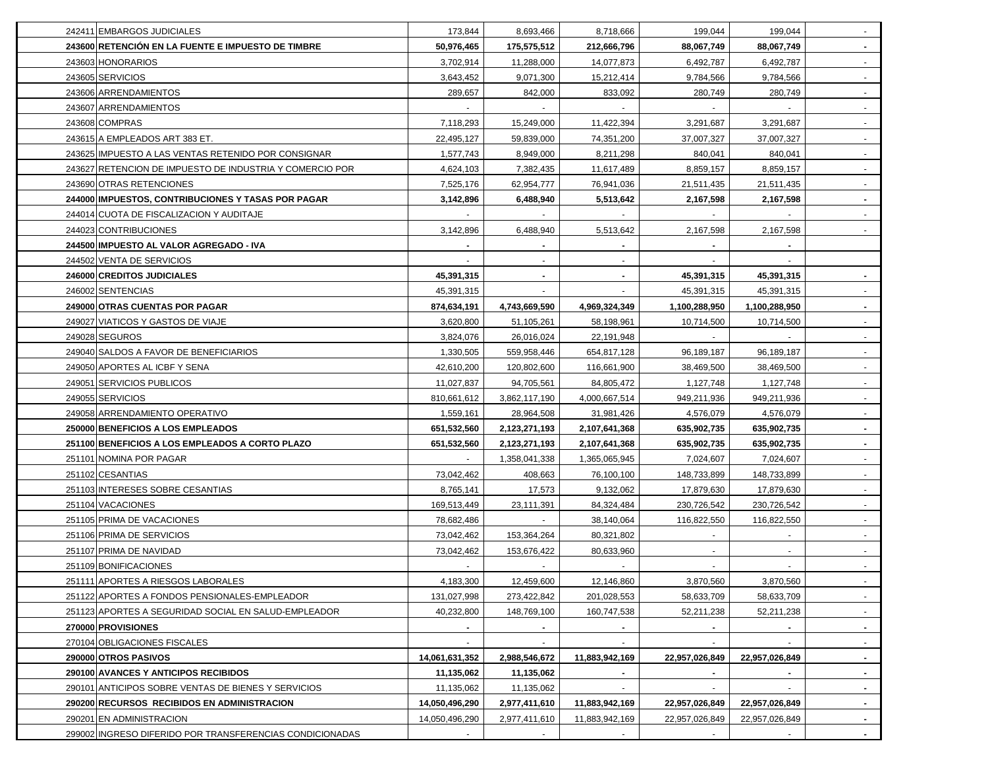| 242411 EMBARGOS JUDICIALES                               | 173,844        | 8,693,466     | 8,718,666      | 199,044        | 199,044        | $\sim$         |
|----------------------------------------------------------|----------------|---------------|----------------|----------------|----------------|----------------|
| 243600 RETENCIÓN EN LA FUENTE E IMPUESTO DE TIMBRE       | 50,976,465     | 175,575,512   | 212,666,796    | 88,067,749     | 88,067,749     | $\sim$         |
| 243603 HONORARIOS                                        | 3,702,914      | 11,288,000    | 14,077,873     | 6,492,787      | 6,492,787      | $\sim$         |
| 243605 SERVICIOS                                         | 3,643,452      | 9,071,300     | 15,212,414     | 9,784,566      | 9,784,566      | $\omega$       |
| 243606 ARRENDAMIENTOS                                    | 289,657        | 842,000       | 833,092        | 280,749        | 280,749        | $\blacksquare$ |
| 243607 ARRENDAMIENTOS                                    |                |               |                |                |                |                |
| 243608 COMPRAS                                           | 7,118,293      | 15,249,000    | 11,422,394     | 3,291,687      | 3,291,687      | $\omega$       |
| 243615 A EMPLEADOS ART 383 ET.                           | 22,495,127     | 59,839,000    | 74,351,200     | 37,007,327     | 37,007,327     |                |
| 243625 IMPUESTO A LAS VENTAS RETENIDO POR CONSIGNAR      | 1,577,743      | 8,949,000     | 8,211,298      | 840,041        | 840,041        |                |
| 243627 RETENCION DE IMPUESTO DE INDUSTRIA Y COMERCIO POR | 4,624,103      | 7,382,435     | 11,617,489     | 8,859,157      | 8,859,157      |                |
| 243690 OTRAS RETENCIONES                                 | 7,525,176      | 62,954,777    | 76,941,036     | 21,511,435     | 21,511,435     |                |
| 244000 IMPUESTOS, CONTRIBUCIONES Y TASAS POR PAGAR       | 3,142,896      | 6,488,940     | 5,513,642      | 2,167,598      | 2,167,598      |                |
| 244014 CUOTA DE FISCALIZACION Y AUDITAJE                 |                |               |                |                |                |                |
| 244023 CONTRIBUCIONES                                    | 3,142,896      | 6,488,940     | 5,513,642      | 2,167,598      | 2,167,598      |                |
| 244500 IMPUESTO AL VALOR AGREGADO - IVA                  |                |               |                |                |                |                |
| 244502 VENTA DE SERVICIOS                                |                |               |                |                |                |                |
| 246000 CREDITOS JUDICIALES                               | 45,391,315     |               |                | 45,391,315     | 45,391,315     |                |
| 246002 SENTENCIAS                                        | 45,391,315     |               |                | 45,391,315     | 45,391,315     |                |
| 249000 OTRAS CUENTAS POR PAGAR                           | 874,634,191    | 4,743,669,590 | 4,969,324,349  | 1,100,288,950  | 1,100,288,950  |                |
| 249027 VIATICOS Y GASTOS DE VIAJE                        | 3,620,800      | 51,105,261    | 58,198,961     | 10,714,500     | 10,714,500     |                |
| 249028 SEGUROS                                           | 3,824,076      | 26,016,024    | 22,191,948     |                |                |                |
| 249040 SALDOS A FAVOR DE BENEFICIARIOS                   | 1,330,505      | 559,958,446   | 654,817,128    | 96,189,187     | 96,189,187     |                |
| 249050 APORTES AL ICBF Y SENA                            | 42,610,200     | 120,802,600   | 116,661,900    | 38,469,500     | 38,469,500     | $\blacksquare$ |
| 249051 SERVICIOS PUBLICOS                                | 11,027,837     | 94,705,561    | 84,805,472     | 1,127,748      | 1,127,748      | $\sim$         |
| 249055 SERVICIOS                                         | 810,661,612    | 3,862,117,190 | 4,000,667,514  | 949,211,936    | 949,211,936    | $\sim$         |
| 249058 ARRENDAMIENTO OPERATIVO                           | 1,559,161      | 28,964,508    | 31,981,426     | 4,576,079      | 4,576,079      | $\sim$         |
| 250000 BENEFICIOS A LOS EMPLEADOS                        | 651,532,560    | 2,123,271,193 | 2,107,641,368  | 635,902,735    | 635,902,735    | $\sim$         |
| 251100 BENEFICIOS A LOS EMPLEADOS A CORTO PLAZO          | 651,532,560    | 2,123,271,193 | 2,107,641,368  | 635,902,735    | 635,902,735    | $\sim$         |
| 251101 NOMINA POR PAGAR                                  |                | 1,358,041,338 | 1,365,065,945  | 7,024,607      | 7,024,607      | $\omega$       |
| 251102 CESANTIAS                                         | 73,042,462     | 408,663       | 76,100,100     | 148,733,899    | 148,733,899    |                |
| 251103 INTERESES SOBRE CESANTIAS                         | 8,765,141      | 17,573        | 9,132,062      | 17,879,630     | 17,879,630     | $\omega$       |
| 251104 VACACIONES                                        | 169,513,449    | 23,111,391    | 84,324,484     | 230,726,542    | 230,726,542    |                |
| 251105 PRIMA DE VACACIONES                               | 78,682,486     |               | 38,140,064     | 116,822,550    | 116,822,550    |                |
| 251106 PRIMA DE SERVICIOS                                | 73,042,462     | 153,364,264   | 80,321,802     |                |                |                |
| 251107 PRIMA DE NAVIDAD                                  | 73,042,462     | 153,676,422   | 80,633,960     |                |                |                |
| 251109 BONIFICACIONES                                    |                |               |                |                |                |                |
| 251111 APORTES A RIESGOS LABORALES                       | 4,183,300      | 12,459,600    | 12,146,860     | 3,870,560      | 3,870,560      | $\sim$         |
| 251122 APORTES A FONDOS PENSIONALES-EMPLEADOR            | 131,027,998    | 273,422,842   | 201,028,553    | 58,633,709     | 58,633,709     | $\sim$         |
| 251123 APORTES A SEGURIDAD SOCIAL EN SALUD-EMPLEADOR     | 40,232,800     | 148,769,100   | 160,747,538    | 52,211,238     | 52,211,238     | $\blacksquare$ |
| 270000 PROVISIONES                                       | $\sim$         | $\sim$        |                | $\blacksquare$ |                | $\blacksquare$ |
| 270104 OBLIGACIONES FISCALES                             |                |               |                |                |                |                |
| 290000 OTROS PASIVOS                                     | 14,061,631,352 | 2,988,546,672 | 11,883,942,169 | 22,957,026,849 | 22,957,026,849 | ۰.             |
| 290100 AVANCES Y ANTICIPOS RECIBIDOS                     | 11,135,062     | 11,135,062    |                | $\blacksquare$ |                |                |
| 290101 ANTICIPOS SOBRE VENTAS DE BIENES Y SERVICIOS      | 11,135,062     | 11,135,062    |                | $\blacksquare$ |                | $\blacksquare$ |
| 290200 RECURSOS RECIBIDOS EN ADMINISTRACION              | 14,050,496,290 | 2,977,411,610 | 11,883,942,169 | 22,957,026,849 | 22,957,026,849 | $\blacksquare$ |
| 290201 EN ADMINISTRACION                                 | 14,050,496,290 | 2,977,411,610 | 11,883,942,169 | 22,957,026,849 | 22,957,026,849 | $\sim$         |
| 299002 INGRESO DIFERIDO POR TRANSFERENCIAS CONDICIONADAS | $\sim$         | $\sim$        | $\sim$         | $\sim$         |                | $\sim$         |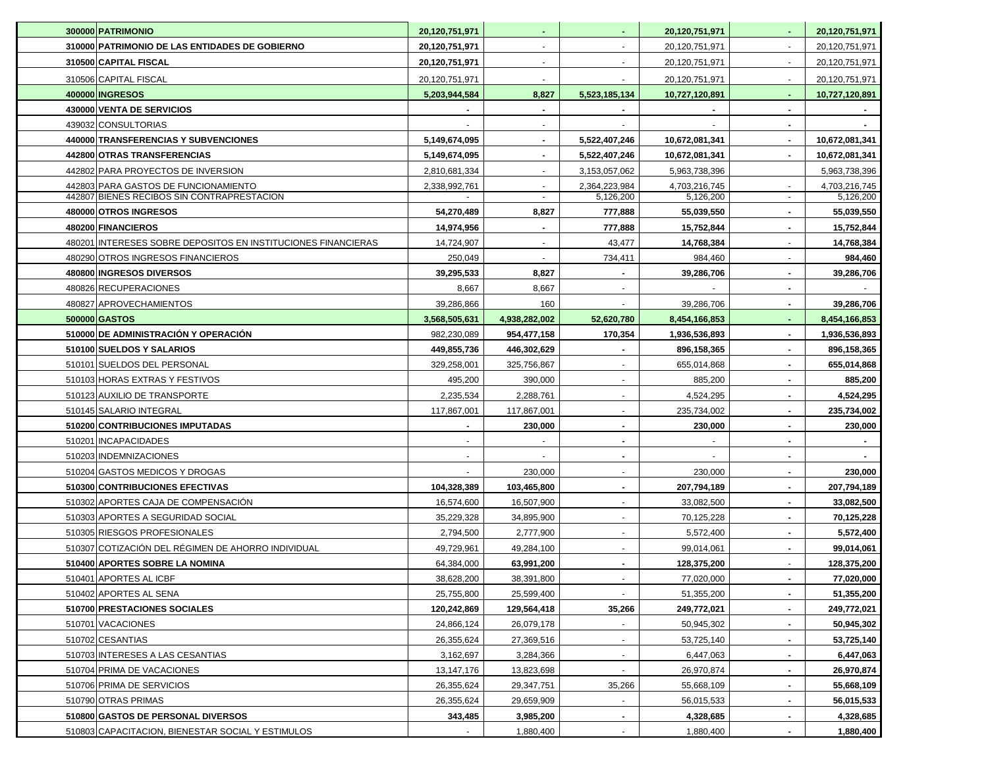| 300000 PATRIMONIO                                             | 20,120,751,971      | $\blacksquare$ | $\blacksquare$           | 20,120,751,971 |                          | 20,120,751,971 |
|---------------------------------------------------------------|---------------------|----------------|--------------------------|----------------|--------------------------|----------------|
| 310000 PATRIMONIO DE LAS ENTIDADES DE GOBIERNO                | 20,120,751,971      | $\blacksquare$ | $\overline{\phantom{a}}$ | 20,120,751,971 | $\overline{\phantom{a}}$ | 20,120,751,971 |
| 310500 CAPITAL FISCAL                                         | 20,120,751,971      | $\blacksquare$ | $\blacksquare$           | 20,120,751,971 | $\overline{\phantom{a}}$ | 20,120,751,971 |
| 310506 CAPITAL FISCAL                                         | 20,120,751,971      |                |                          | 20,120,751,971 |                          | 20,120,751,971 |
| 400000 INGRESOS                                               | 5,203,944,584       | 8,827          | 5,523,185,134            | 10,727,120,891 |                          | 10,727,120,891 |
| 430000 VENTA DE SERVICIOS                                     |                     |                |                          |                |                          |                |
| 439032 CONSULTORIAS                                           |                     |                |                          |                |                          |                |
| 440000 TRANSFERENCIAS Y SUBVENCIONES                          | 5,149,674,095       | $\blacksquare$ | 5,522,407,246            | 10,672,081,341 |                          | 10,672,081,341 |
| 442800 OTRAS TRANSFERENCIAS                                   | 5,149,674,095       |                | 5,522,407,246            | 10,672,081,341 |                          | 10,672,081,341 |
| 442802 PARA PROYECTOS DE INVERSION                            | 2,810,681,334       |                | 3,153,057,062            | 5,963,738,396  |                          | 5,963,738,396  |
| 442803 PARA GASTOS DE FUNCIONAMIENTO                          | 2,338,992,761       |                | 2,364,223,984            | 4,703,216,745  |                          | 4,703,216,745  |
| 442807 BIENES RECIBOS SIN CONTRAPRESTACION                    |                     | $\blacksquare$ | 5,126,200                | 5,126,200      | $\sim$                   | 5,126,200      |
| 480000 OTROS INGRESOS                                         | 54,270,489          | 8,827          | 777,888                  | 55,039,550     |                          | 55,039,550     |
| 480200 FINANCIEROS                                            | 14,974,956          |                | 777,888                  | 15,752,844     |                          | 15,752,844     |
| 480201 INTERESES SOBRE DEPOSITOS EN INSTITUCIONES FINANCIERAS | 14,724,907          |                | 43,477                   | 14,768,384     |                          | 14,768,384     |
| 480290 OTROS INGRESOS FINANCIEROS                             | 250,049             |                | 734,411                  | 984,460        |                          | 984,460        |
| 480800 INGRESOS DIVERSOS<br>480826 RECUPERACIONES             | 39,295,533          | 8,827          |                          | 39.286.706     |                          | 39,286,706     |
| 480827 APROVECHAMIENTOS                                       | 8,667<br>39,286,866 | 8,667<br>160   |                          | 39,286,706     |                          | 39,286,706     |
| 500000 GASTOS                                                 | 3,568,505,631       | 4,938,282,002  | 52,620,780               | 8,454,166,853  |                          | 8,454,166,853  |
| 510000 DE ADMINISTRACIÓN Y OPERACIÓN                          | 982,230,089         | 954,477,158    | 170,354                  | 1,936,536,893  |                          | 1,936,536,893  |
| 510100 SUELDOS Y SALARIOS                                     | 449,855,736         | 446,302,629    |                          | 896,158,365    |                          | 896,158,365    |
| 510101 SUELDOS DEL PERSONAL                                   | 329,258,001         | 325,756,867    | $\overline{\phantom{a}}$ | 655,014,868    |                          | 655,014,868    |
| 510103 HORAS EXTRAS Y FESTIVOS                                | 495,200             | 390,000        | $\overline{\phantom{a}}$ | 885,200        |                          | 885,200        |
| 510123 AUXILIO DE TRANSPORTE                                  | 2,235,534           | 2,288,761      | $\overline{\phantom{a}}$ | 4,524,295      |                          | 4,524,295      |
| 510145 SALARIO INTEGRAL                                       | 117,867,001         | 117,867,001    |                          | 235,734,002    |                          | 235,734,002    |
| 510200 CONTRIBUCIONES IMPUTADAS                               |                     | 230,000        | $\blacksquare$           | 230,000        |                          | 230,000        |
| 510201 INCAPACIDADES                                          |                     |                |                          |                |                          |                |
| 510203 INDEMNIZACIONES                                        |                     |                |                          |                |                          |                |
| 510204 GASTOS MEDICOS Y DROGAS                                |                     | 230,000        | $\overline{\phantom{a}}$ | 230,000        |                          | 230,000        |
| 510300 CONTRIBUCIONES EFECTIVAS                               | 104,328,389         | 103,465,800    |                          | 207,794,189    |                          | 207,794,189    |
| 510302 APORTES CAJA DE COMPENSACIÓN                           | 16,574,600          | 16,507,900     | $\overline{\phantom{a}}$ | 33,082,500     |                          | 33,082,500     |
| 510303 APORTES A SEGURIDAD SOCIAL                             | 35,229,328          | 34,895,900     | $\overline{\phantom{a}}$ | 70,125,228     |                          | 70,125,228     |
| 510305 RIESGOS PROFESIONALES                                  | 2,794,500           | 2,777,900      | $\overline{\phantom{a}}$ | 5,572,400      |                          | 5,572,400      |
| 510307 COTIZACIÓN DEL RÉGIMEN DE AHORRO INDIVIDUAL            | 49,729,961          | 49,284,100     | $\sim$                   | 99,014,061     | $\blacksquare$           | 99,014,061     |
| 510400 APORTES SOBRE LA NOMINA                                | 64,384,000          | 63,991,200     | $\blacksquare$           | 128,375,200    |                          | 128,375,200    |
| 510401 APORTES AL ICBF                                        | 38,628,200          | 38,391,800     |                          | 77,020,000     |                          | 77,020,000     |
| 510402 APORTES AL SENA                                        | 25,755,800          | 25,599,400     | $\sim$                   | 51,355,200     |                          | 51,355,200     |
| 510700 PRESTACIONES SOCIALES                                  | 120,242,869         | 129,564,418    | 35,266                   | 249,772,021    |                          | 249,772,021    |
| 510701 VACACIONES                                             | 24,866,124          | 26,079,178     |                          | 50,945,302     |                          | 50,945,302     |
| 510702 CESANTIAS                                              | 26,355,624          | 27,369,516     | $\blacksquare$           | 53,725,140     |                          | 53,725,140     |
| 510703 INTERESES A LAS CESANTIAS                              | 3,162,697           | 3,284,366      | $\blacksquare$           | 6,447,063      |                          | 6,447,063      |
| 510704 PRIMA DE VACACIONES                                    | 13,147,176          | 13,823,698     |                          | 26,970,874     |                          | 26,970,874     |
| 510706 PRIMA DE SERVICIOS                                     | 26,355,624          | 29,347,751     | 35,266                   | 55,668,109     |                          | 55,668,109     |
| 510790 OTRAS PRIMAS                                           | 26,355,624          | 29,659,909     |                          | 56,015,533     |                          | 56,015,533     |
| 510800 GASTOS DE PERSONAL DIVERSOS                            | 343,485             | 3,985,200      |                          | 4,328,685      |                          | 4,328,685      |
| 510803 CAPACITACION, BIENESTAR SOCIAL Y ESTIMULOS             |                     | 1,880,400      |                          | 1,880,400      |                          | 1,880,400      |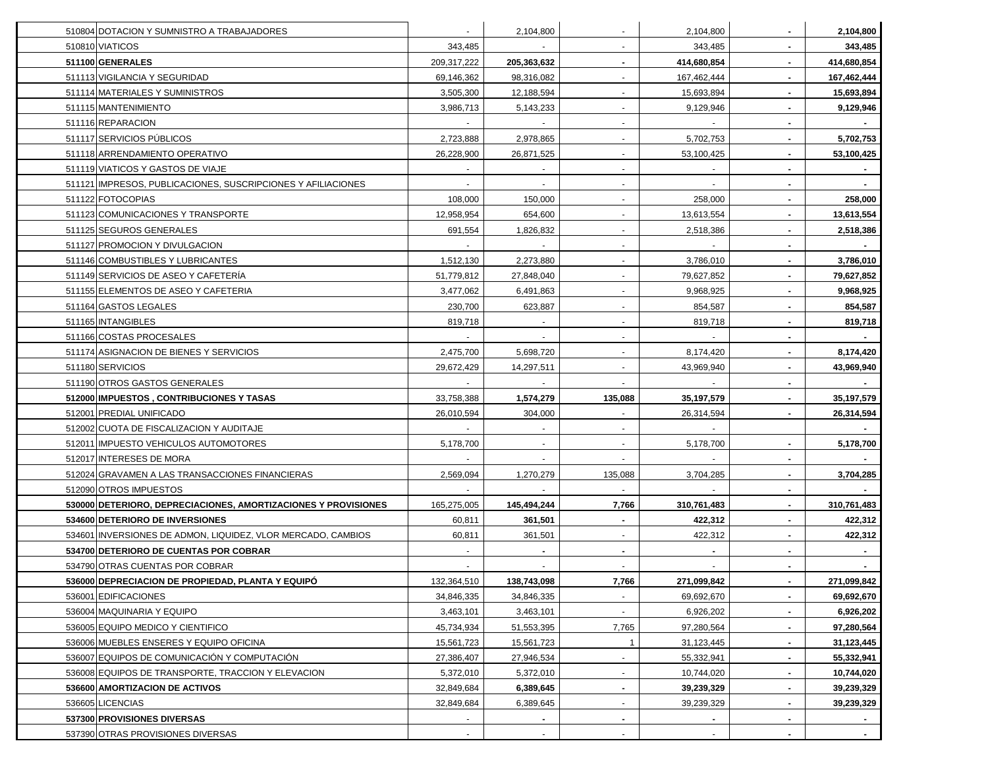| 510804 DOTACION Y SUMNISTRO A TRABAJADORES                     |             | 2,104,800      |                          | 2,104,800   |                | 2,104,800   |
|----------------------------------------------------------------|-------------|----------------|--------------------------|-------------|----------------|-------------|
| 510810 VIATICOS                                                | 343,485     |                |                          | 343,485     |                | 343,485     |
| 511100 GENERALES                                               | 209,317,222 | 205,363,632    | $\blacksquare$           | 414,680,854 |                | 414,680,854 |
| 511113 VIGILANCIA Y SEGURIDAD                                  | 69,146,362  | 98,316,082     | $\overline{\phantom{a}}$ | 167,462,444 |                | 167,462,444 |
| 511114 MATERIALES Y SUMINISTROS                                | 3,505,300   | 12,188,594     | $\overline{\phantom{a}}$ | 15,693,894  | $\blacksquare$ | 15,693,894  |
| 511115 MANTENIMIENTO                                           | 3,986,713   | 5,143,233      | $\sim$                   | 9,129,946   | $\blacksquare$ | 9,129,946   |
| 511116 REPARACION                                              |             |                | $\overline{\phantom{a}}$ | $\sim$      | $\blacksquare$ |             |
| 511117 SERVICIOS PÚBLICOS                                      | 2,723,888   | 2,978,865      | $\sim$                   | 5,702,753   |                | 5,702,753   |
| 511118 ARRENDAMIENTO OPERATIVO                                 | 26,228,900  | 26,871,525     | $\blacksquare$           | 53,100,425  |                | 53.100.425  |
| 511119 VIATICOS Y GASTOS DE VIAJE                              |             |                | $\blacksquare$           |             |                |             |
| 511121 IMPRESOS, PUBLICACIONES, SUSCRIPCIONES Y AFILIACIONES   |             |                |                          |             |                |             |
| 511122 FOTOCOPIAS                                              | 108,000     | 150,000        |                          | 258,000     |                | 258,000     |
| 511123 COMUNICACIONES Y TRANSPORTE                             | 12,958,954  | 654,600        | $\sim$                   | 13,613,554  |                | 13,613,554  |
| 511125 SEGUROS GENERALES                                       | 691,554     | 1,826,832      |                          | 2,518,386   |                | 2,518,386   |
| 511127 PROMOCION Y DIVULGACION                                 |             |                |                          |             |                |             |
| 511146 COMBUSTIBLES Y LUBRICANTES                              | 1,512,130   | 2,273,880      |                          | 3,786,010   |                | 3,786,010   |
| 511149 SERVICIOS DE ASEO Y CAFETERIA                           | 51,779,812  | 27,848,040     |                          | 79,627,852  |                | 79,627,852  |
| 511155 ELEMENTOS DE ASEO Y CAFETERIA                           | 3,477,062   | 6,491,863      | $\overline{\phantom{a}}$ | 9,968,925   |                | 9,968,925   |
| 511164 GASTOS LEGALES                                          | 230,700     | 623,887        | $\overline{\phantom{a}}$ | 854,587     |                | 854,587     |
| 511165 INTANGIBLES                                             | 819,718     |                |                          | 819,718     |                | 819,718     |
| 511166 COSTAS PROCESALES                                       |             | $\blacksquare$ | $\overline{\phantom{a}}$ | $\sim$      |                |             |
| 511174 ASIGNACION DE BIENES Y SERVICIOS                        | 2,475,700   | 5,698,720      |                          | 8,174,420   |                | 8,174,420   |
| 511180 SERVICIOS                                               | 29,672,429  | 14,297,511     |                          | 43,969,940  |                | 43,969,940  |
| 511190 OTROS GASTOS GENERALES                                  |             |                |                          |             |                |             |
| 512000 IMPUESTOS, CONTRIBUCIONES Y TASAS                       | 33,758,388  | 1,574,279      | 135,088                  | 35,197,579  |                | 35,197,579  |
| 512001 PREDIAL UNIFICADO                                       | 26,010,594  | 304,000        |                          | 26,314,594  |                | 26,314,594  |
| 512002 CUOTA DE FISCALIZACION Y AUDITAJE                       |             |                |                          |             |                |             |
| 512011 IMPUESTO VEHICULOS AUTOMOTORES                          | 5,178,700   |                | $\overline{\phantom{a}}$ | 5,178,700   |                | 5,178,700   |
| 512017 INTERESES DE MORA                                       |             | $\blacksquare$ | $\sim$                   |             | $\blacksquare$ |             |
| 512024 GRAVAMEN A LAS TRANSACCIONES FINANCIERAS                | 2,569,094   | 1,270,279      | 135,088                  | 3,704,285   | ٠              | 3,704,285   |
| 512090 OTROS IMPUESTOS                                         |             | $\sim$         | $\blacksquare$           | $\sim$      | $\blacksquare$ |             |
| 530000 DETERIORO, DEPRECIACIONES, AMORTIZACIONES Y PROVISIONES | 165,275,005 | 145,494,244    | 7,766                    | 310,761,483 | $\blacksquare$ | 310,761,483 |
| 534600 DETERIORO DE INVERSIONES                                | 60,811      | 361,501        | $\sim$                   | 422,312     | ٠              | 422,312     |
| 534601 INVERSIONES DE ADMON, LIQUIDEZ, VLOR MERCADO, CAMBIOS   | 60,811      | 361,501        | $\sim$                   | 422,312     |                | 422,312     |
| 534700 DETERIORO DE CUENTAS POR COBRAR                         |             |                |                          |             |                |             |
| 534790 OTRAS CUENTAS POR COBRAR                                |             |                |                          |             |                |             |
| 536000 DEPRECIACION DE PROPIEDAD, PLANTA Y EQUIPÓ              | 132,364,510 | 138,743,098    | 7,766                    | 271,099,842 |                | 271,099,842 |
| 536001 EDIFICACIONES                                           | 34,846,335  | 34,846,335     |                          | 69,692,670  |                | 69,692,670  |
| 536004 MAQUINARIA Y EQUIPO                                     | 3,463,101   | 3,463,101      |                          | 6,926,202   |                | 6,926,202   |
| 536005 EQUIPO MEDICO Y CIENTIFICO                              | 45,734,934  | 51,553,395     | 7,765                    | 97,280,564  |                | 97,280,564  |
| 536006 MUEBLES ENSERES Y EQUIPO OFICINA                        | 15,561,723  | 15,561,723     |                          | 31,123,445  |                | 31,123,445  |
| 536007 EQUIPOS DE COMUNICACIÓN Y COMPUTACIÓN                   | 27,386,407  | 27,946,534     |                          | 55,332,941  |                | 55,332,941  |
| 536008 EQUIPOS DE TRANSPORTE, TRACCION Y ELEVACION             | 5,372,010   | 5,372,010      | $\sim$                   | 10,744,020  | $\blacksquare$ | 10,744,020  |
| 536600 AMORTIZACION DE ACTIVOS                                 | 32,849,684  | 6,389,645      | $\blacksquare$           | 39,239,329  |                | 39,239,329  |
|                                                                |             |                |                          |             |                |             |
| 536605 LICENCIAS                                               | 32,849,684  | 6,389,645      | $\blacksquare$           | 39,239,329  |                | 39,239,329  |
| 537300 PROVISIONES DIVERSAS                                    |             |                |                          |             |                |             |